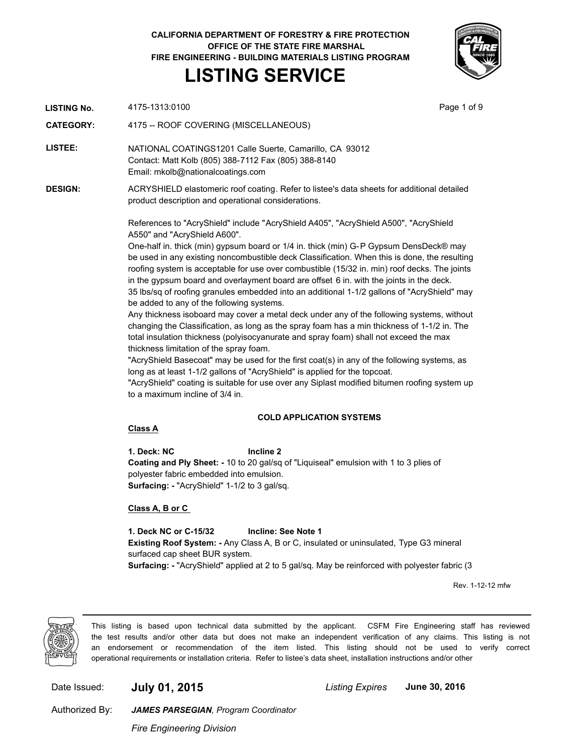# **CALIFORNIA DEPARTMENT OF FORESTRY & FIRE PROTECTION OFFICE OF THE STATE FIRE MARSHAL FIRE ENGINEERING - BUILDING MATERIALS LISTING PROGRAM LISTING SERVICE**



**LISTING No.** 4175-1313:0100 **Page 1 of 9** Page 1 of 9

**CATEGORY:** 4175 -- ROOF COVERING (MISCELLANEOUS)

**LISTEE:** NATIONAL COATINGS1201 Calle Suerte, Camarillo, CA 93012 Contact: Matt Kolb (805) 388-7112 Fax (805) 388-8140 Email: mkolb@nationalcoatings.com

**DESIGN:** ACRYSHIELD elastomeric roof coating. Refer to listee's data sheets for additional detailed product description and operational considerations.

> References to "AcryShield" include "AcryShield A405", "AcryShield A500", "AcryShield A550" and "AcryShield A600".

One-half in. thick (min) gypsum board or 1/4 in. thick (min) G-P Gypsum DensDeck® may be used in any existing noncombustible deck Classification. When this is done, the resulting roofing system is acceptable for use over combustible (15/32 in. min) roof decks. The joints in the gypsum board and overlayment board are offset 6 in. with the joints in the deck. 35 lbs/sq of roofing granules embedded into an additional 1-1/2 gallons of "AcryShield" may be added to any of the following systems.

Any thickness isoboard may cover a metal deck under any of the following systems, without changing the Classification, as long as the spray foam has a min thickness of 1-1/2 in. The total insulation thickness (polyisocyanurate and spray foam) shall not exceed the max thickness limitation of the spray foam.

"AcryShield Basecoat" may be used for the first coat(s) in any of the following systems, as long as at least 1-1/2 gallons of "AcryShield" is applied for the topcoat.

"AcryShield" coating is suitable for use over any Siplast modified bitumen roofing system up to a maximum incline of 3/4 in.

### **COLD APPLICATION SYSTEMS**

### **Class A**

**1. Deck: NC Incline 2 Coating and Ply Sheet: -** 10 to 20 gal/sq of "Liquiseal" emulsion with 1 to 3 plies of polyester fabric embedded into emulsion. **Surfacing: -** "AcryShield" 1-1/2 to 3 gal/sq.

### **Class A, B or C**

**1. Deck NC or C-15/32 Incline: See Note 1 Existing Roof System: -** Any Class A, B or C, insulated or uninsulated, Type G3 mineral surfaced cap sheet BUR system. **Surfacing: -** "AcryShield" applied at 2 to 5 gal/sq. May be reinforced with polyester fabric (3

Rev. 1-12-12 mfw



This listing is based upon technical data submitted by the applicant. CSFM Fire Engineering staff has reviewed the test results and/or other data but does not make an independent verification of any claims. This listing is not an endorsement or recommendation of the item listed. This listing should not be used to verify correct operational requirements or installation criteria. Refer to listee's data sheet, installation instructions and/or other

Date Issued: **July 01, 2015** *Listing Expires* **June 30, 2016**

Authorized By:

*JAMES PARSEGIAN, Program Coordinator*

*Fire Engineering Division*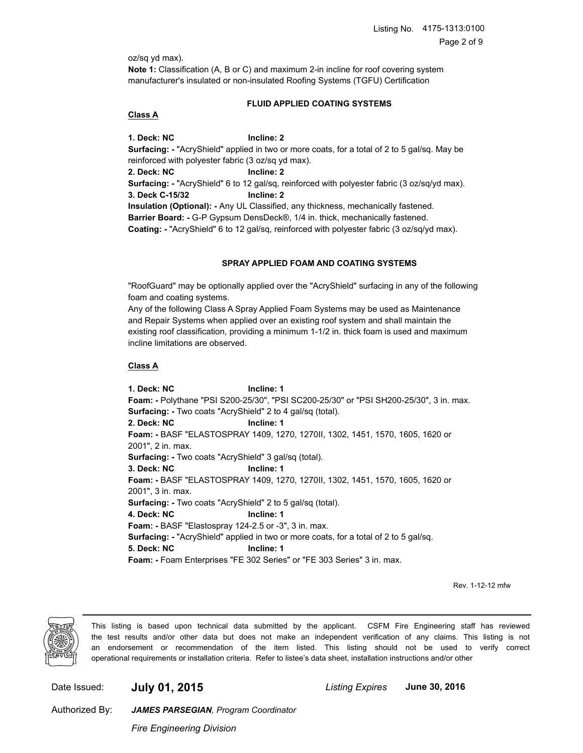oz/sq yd max).

**Note 1:** Classification (A, B or C) and maximum 2-in incline for roof covering system manufacturer's insulated or non-insulated Roofing Systems (TGFU) Certification

# **FLUID APPLIED COATING SYSTEMS**

# **Class A**

**1. Deck: NC Incline: 2 Surfacing: -** "AcryShield" applied in two or more coats, for a total of 2 to 5 gal/sq. May be reinforced with polyester fabric (3 oz/sq yd max). **2. Deck: NC Incline: 2 Surfacing: -** "AcryShield" 6 to 12 gal/sq, reinforced with polyester fabric (3 oz/sq/yd max). **3. Deck C-15/32 Incline: 2 Insulation (Optional): -** Any UL Classified, any thickness, mechanically fastened. **Barrier Board: -** G-P Gypsum DensDeck®, 1/4 in. thick, mechanically fastened. **Coating: -** "AcryShield" 6 to 12 gal/sq, reinforced with polyester fabric (3 oz/sq/yd max).

# **SPRAY APPLIED FOAM AND COATING SYSTEMS**

"RoofGuard" may be optionally applied over the "AcryShield" surfacing in any of the following foam and coating systems.

Any of the following Class A Spray Applied Foam Systems may be used as Maintenance and Repair Systems when applied over an existing roof system and shall maintain the existing roof classification, providing a minimum 1-1/2 in. thick foam is used and maximum incline limitations are observed.

# **Class A**

**1. Deck: NC Incline: 1 Foam: -** Polythane "PSI S200-25/30", "PSI SC200-25/30" or "PSI SH200-25/30", 3 in. max. **Surfacing: -** Two coats "AcryShield" 2 to 4 gal/sq (total). **2. Deck: NC Incline: 1 Foam: -** BASF "ELASTOSPRAY 1409, 1270, 1270II, 1302, 1451, 1570, 1605, 1620 or 2001", 2 in. max. **Surfacing: -** Two coats "AcryShield" 3 gal/sq (total). **3. Deck: NC Incline: 1 Foam: -** BASF "ELASTOSPRAY 1409, 1270, 1270II, 1302, 1451, 1570, 1605, 1620 or 2001", 3 in. max. **Surfacing: -** Two coats "AcryShield" 2 to 5 gal/sq (total). **4. Deck: NC Incline: 1 Foam: -** BASF "Elastospray 124-2.5 or -3", 3 in. max. **Surfacing: -** "AcryShield" applied in two or more coats, for a total of 2 to 5 gal/sq. **5. Deck: NC Incline: 1 Foam: -** Foam Enterprises "FE 302 Series" or "FE 303 Series" 3 in. max.

Rev. 1-12-12 mfw



This listing is based upon technical data submitted by the applicant. CSFM Fire Engineering staff has reviewed the test results and/or other data but does not make an independent verification of any claims. This listing is not an endorsement or recommendation of the item listed. This listing should not be used to verify correct operational requirements or installation criteria. Refer to listee's data sheet, installation instructions and/or other

Date Issued: **July 01, 2015** *Listing Expires* **June 30, 2016**

Authorized By:

*Fire Engineering Division*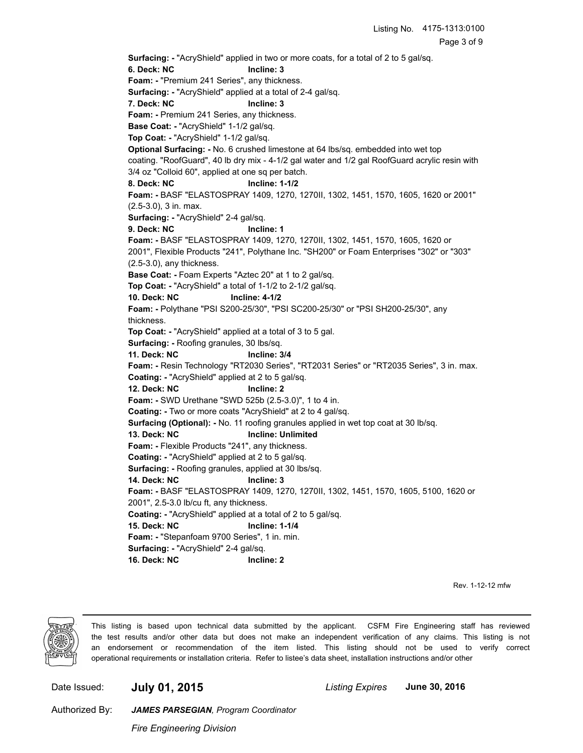Page 3 of 9

**Surfacing: -** "AcryShield" applied in two or more coats, for a total of 2 to 5 gal/sq.

**6. Deck: NC Incline: 3**

**Foam: -** "Premium 241 Series", any thickness.

**Surfacing: -** "AcryShield" applied at a total of 2-4 gal/sq.

**7. Deck: NC Incline: 3**

**Foam: -** Premium 241 Series, any thickness.

**Base Coat: -** "AcryShield" 1-1/2 gal/sq.

**Top Coat: -** "AcryShield" 1-1/2 gal/sq.

**Optional Surfacing: -** No. 6 crushed limestone at 64 lbs/sq. embedded into wet top coating. "RoofGuard", 40 lb dry mix - 4-1/2 gal water and 1/2 gal RoofGuard acrylic resin with 3/4 oz "Colloid 60", applied at one sq per batch.

**8. Deck: NC Incline: 1-1/2**

**Foam: -** BASF "ELASTOSPRAY 1409, 1270, 1270II, 1302, 1451, 1570, 1605, 1620 or 2001" (2.5-3.0), 3 in. max.

**Surfacing: -** "AcryShield" 2-4 gal/sq.

**9. Deck: NC Incline: 1**

**Foam: -** BASF "ELASTOSPRAY 1409, 1270, 1270II, 1302, 1451, 1570, 1605, 1620 or 2001", Flexible Products "241", Polythane Inc. "SH200" or Foam Enterprises "302" or "303" (2.5-3.0), any thickness.

**Base Coat: -** Foam Experts "Aztec 20" at 1 to 2 gal/sq.

**Top Coat: -** "AcryShield" a total of 1-1/2 to 2-1/2 gal/sq.

**10. Deck: NC Incline: 4-1/2**

**Foam: -** Polythane "PSI S200-25/30", "PSI SC200-25/30" or "PSI SH200-25/30", any thickness.

**Top Coat: -** "AcryShield" applied at a total of 3 to 5 gal.

**Surfacing: -** Roofing granules, 30 lbs/sq.

**11. Deck: NC Incline: 3/4**

**Foam: -** Resin Technology "RT2030 Series", "RT2031 Series" or "RT2035 Series", 3 in. max.

**Coating: -** "AcryShield" applied at 2 to 5 gal/sq.

**12. Deck: NC Incline: 2**

**Foam: -** SWD Urethane "SWD 525b (2.5-3.0)", 1 to 4 in.

**Coating: -** Two or more coats "AcryShield" at 2 to 4 gal/sq.

**Surfacing (Optional): -** No. 11 roofing granules applied in wet top coat at 30 lb/sq.

### **13. Deck: NC Incline: Unlimited**

**Foam: -** Flexible Products "241", any thickness.

**Coating: -** "AcryShield" applied at 2 to 5 gal/sq.

**Surfacing: -** Roofing granules, applied at 30 lbs/sq.

**14. Deck: NC Incline: 3**

**Foam: -** BASF "ELASTOSPRAY 1409, 1270, 1270II, 1302, 1451, 1570, 1605, 5100, 1620 or

2001", 2.5-3.0 lb/cu ft, any thickness.

**Coating: -** "AcryShield" applied at a total of 2 to 5 gal/sq.

**15. Deck: NC Incline: 1-1/4**

**Foam: -** "Stepanfoam 9700 Series", 1 in. min.

**Surfacing: -** "AcryShield" 2-4 gal/sq.

**16. Deck: NC Incline: 2**

Rev. 1-12-12 mfw



This listing is based upon technical data submitted by the applicant. CSFM Fire Engineering staff has reviewed the test results and/or other data but does not make an independent verification of any claims. This listing is not an endorsement or recommendation of the item listed. This listing should not be used to verify correct operational requirements or installation criteria. Refer to listee's data sheet, installation instructions and/or other

Date Issued: **July 01, 2015** *Listing Expires* **June 30, 2016**

Authorized By:

*Fire Engineering Division*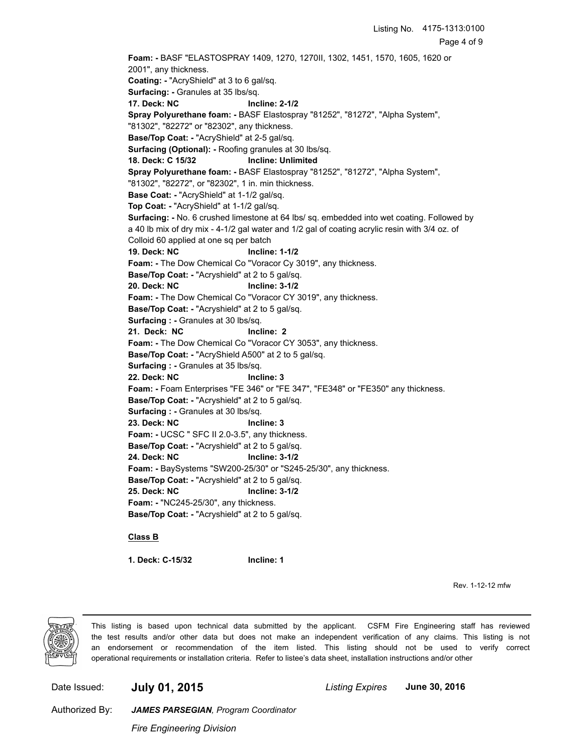**Foam: -** BASF "ELASTOSPRAY 1409, 1270, 1270II, 1302, 1451, 1570, 1605, 1620 or 2001", any thickness. **Coating: -** "AcryShield" at 3 to 6 gal/sq. **Surfacing: -** Granules at 35 lbs/sq. **17. Deck: NC Incline: 2-1/2 Spray Polyurethane foam: -** BASF Elastospray "81252", "81272", "Alpha System", "81302", "82272" or "82302", any thickness. **Base/Top Coat: -** "AcryShield" at 2-5 gal/sq. **Surfacing (Optional): -** Roofing granules at 30 lbs/sq. **18. Deck: C 15/32 Incline: Unlimited Spray Polyurethane foam: -** BASF Elastospray "81252", "81272", "Alpha System", "81302", "82272", or "82302", 1 in. min thickness. **Base Coat: -** "AcryShield" at 1-1/2 gal/sq. **Top Coat: -** "AcryShield" at 1-1/2 gal/sq. **Surfacing: -** No. 6 crushed limestone at 64 lbs/ sq. embedded into wet coating. Followed by a 40 lb mix of dry mix - 4-1/2 gal water and 1/2 gal of coating acrylic resin with 3/4 oz. of Colloid 60 applied at one sq per batch **19. Deck: NC Incline: 1-1/2 Foam: -** The Dow Chemical Co "Voracor Cy 3019", any thickness. **Base/Top Coat: -** "Acryshield" at 2 to 5 gal/sq. **20. Deck: NC Incline: 3-1/2 Foam: -** The Dow Chemical Co "Voracor CY 3019", any thickness. **Base/Top Coat: -** "Acryshield" at 2 to 5 gal/sq. **Surfacing : -** Granules at 30 lbs/sq. **21. Deck: NC Incline: 2 Foam: -** The Dow Chemical Co "Voracor CY 3053", any thickness. **Base/Top Coat: -** "AcryShield A500" at 2 to 5 gal/sq. **Surfacing : -** Granules at 35 lbs/sq. **22. Deck: NC Incline: 3 Foam: -** Foam Enterprises "FE 346" or "FE 347", "FE348" or "FE350" any thickness. **Base/Top Coat: -** "Acryshield" at 2 to 5 gal/sq. **Surfacing : -** Granules at 30 lbs/sq. **23. Deck: NC Incline: 3 Foam: -** UCSC " SFC II 2.0-3.5", any thickness. **Base/Top Coat: -** "Acryshield" at 2 to 5 gal/sq. **24. Deck: NC Incline: 3-1/2 Foam: -** BaySystems "SW200-25/30" or "S245-25/30", any thickness. **Base/Top Coat: -** "Acryshield" at 2 to 5 gal/sq. **25. Deck: NC Incline: 3-1/2 Foam: -** "NC245-25/30", any thickness. **Base/Top Coat: -** "Acryshield" at 2 to 5 gal/sq.

### **Class B**

**1. Deck: C-15/32 Incline: 1**

Rev. 1-12-12 mfw



This listing is based upon technical data submitted by the applicant. CSFM Fire Engineering staff has reviewed the test results and/or other data but does not make an independent verification of any claims. This listing is not an endorsement or recommendation of the item listed. This listing should not be used to verify correct operational requirements or installation criteria. Refer to listee's data sheet, installation instructions and/or other

Date Issued: **July 01, 2015** *Listing Expires* **June 30, 2016**

Authorized By:

*Fire Engineering Division*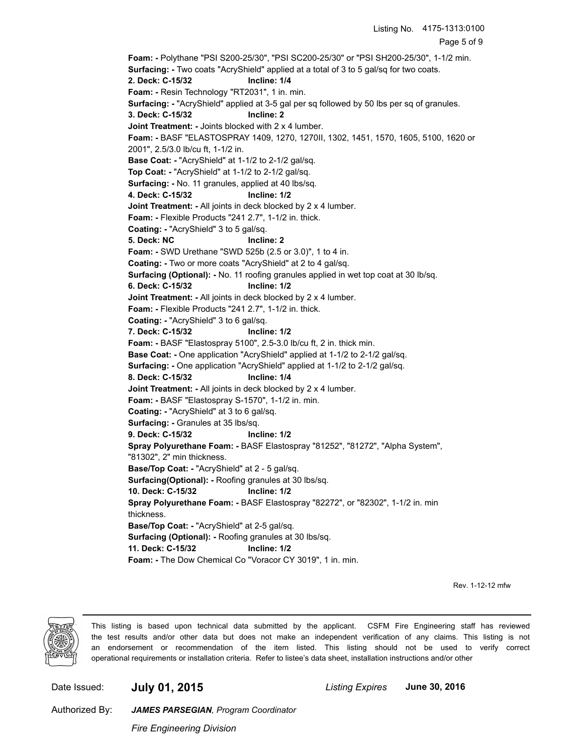Page 5 of 9 **Foam: -** Polythane "PSI S200-25/30", "PSI SC200-25/30" or "PSI SH200-25/30", 1-1/2 min. **Surfacing: -** Two coats "AcryShield" applied at a total of 3 to 5 gal/sq for two coats. **2. Deck: C-15/32 Incline: 1/4 Foam: -** Resin Technology "RT2031", 1 in. min. **Surfacing: -** "AcryShield" applied at 3-5 gal per sq followed by 50 lbs per sq of granules. **3. Deck: C-15/32 Incline: 2 Joint Treatment: -** Joints blocked with 2 x 4 lumber. **Foam: -** BASF "ELASTOSPRAY 1409, 1270, 1270II, 1302, 1451, 1570, 1605, 5100, 1620 or 2001", 2.5/3.0 lb/cu ft, 1-1/2 in. **Base Coat: -** "AcryShield" at 1-1/2 to 2-1/2 gal/sq. **Top Coat: -** "AcryShield" at 1-1/2 to 2-1/2 gal/sq. **Surfacing: -** No. 11 granules, applied at 40 lbs/sq. **4. Deck: C-15/32 Incline: 1/2 Joint Treatment: - All joints in deck blocked by 2 x 4 lumber. Foam: -** Flexible Products "241 2.7", 1-1/2 in. thick. **Coating: -** "AcryShield" 3 to 5 gal/sq. **5. Deck: NC Incline: 2 Foam: -** SWD Urethane "SWD 525b (2.5 or 3.0)", 1 to 4 in. **Coating: -** Two or more coats "AcryShield" at 2 to 4 gal/sq. **Surfacing (Optional): -** No. 11 roofing granules applied in wet top coat at 30 lb/sq. **6. Deck: C-15/32 Incline: 1/2 Joint Treatment: - All joints in deck blocked by 2 x 4 lumber. Foam: -** Flexible Products "241 2.7", 1-1/2 in. thick. **Coating: -** "AcryShield" 3 to 6 gal/sq. **7. Deck: C-15/32 Incline: 1/2 Foam: -** BASF "Elastospray 5100", 2.5-3.0 lb/cu ft, 2 in. thick min. **Base Coat: -** One application "AcryShield" applied at 1-1/2 to 2-1/2 gal/sq. **Surfacing: -** One application "AcryShield" applied at 1-1/2 to 2-1/2 gal/sq. **8. Deck: C-15/32 Incline: 1/4 Joint Treatment: - All joints in deck blocked by 2 x 4 lumber. Foam: -** BASF "Elastospray S-1570", 1-1/2 in. min. **Coating: -** "AcryShield" at 3 to 6 gal/sq. **Surfacing: -** Granules at 35 lbs/sq. **9. Deck: C-15/32 Incline: 1/2 Spray Polyurethane Foam: -** BASF Elastospray "81252", "81272", "Alpha System", "81302", 2" min thickness. **Base/Top Coat: -** "AcryShield" at 2 - 5 gal/sq. **Surfacing(Optional): -** Roofing granules at 30 lbs/sq. **10. Deck: C-15/32 Incline: 1/2 Spray Polyurethane Foam: -** BASF Elastospray "82272", or "82302", 1-1/2 in. min thickness. **Base/Top Coat: -** "AcryShield" at 2-5 gal/sq. **Surfacing (Optional): -** Roofing granules at 30 lbs/sq. **11. Deck: C-15/32 Incline: 1/2 Foam: -** The Dow Chemical Co "Voracor CY 3019", 1 in. min.

Rev. 1-12-12 mfw



This listing is based upon technical data submitted by the applicant. CSFM Fire Engineering staff has reviewed the test results and/or other data but does not make an independent verification of any claims. This listing is not an endorsement or recommendation of the item listed. This listing should not be used to verify correct operational requirements or installation criteria. Refer to listee's data sheet, installation instructions and/or other

Date Issued: **July 01, 2015** *Listing Expires* **June 30, 2016**

Listing No. 4175-1313:0100

Authorized By:

*Fire Engineering Division*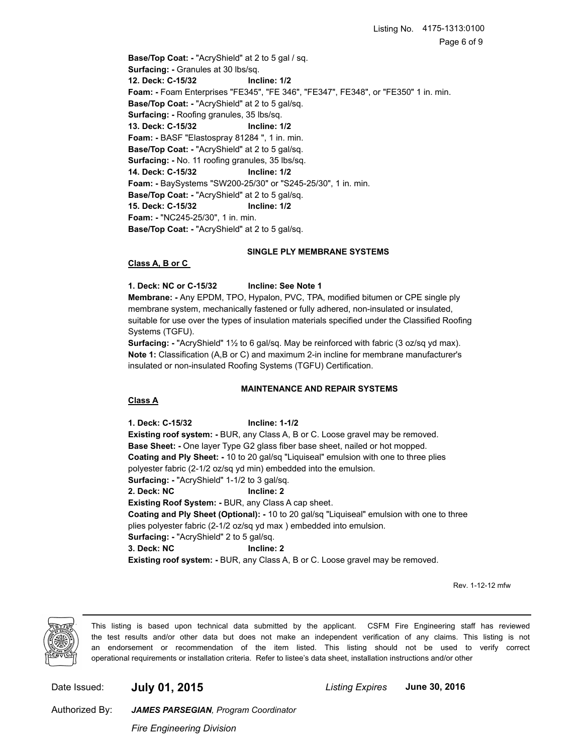**Base/Top Coat: -** "AcryShield" at 2 to 5 gal / sq. **Surfacing: -** Granules at 30 lbs/sq. **12. Deck: C-15/32 Incline: 1/2 Foam: -** Foam Enterprises "FE345", "FE 346", "FE347", FE348", or "FE350" 1 in. min. **Base/Top Coat: -** "AcryShield" at 2 to 5 gal/sq. **Surfacing: -** Roofing granules, 35 lbs/sq. **13. Deck: C-15/32 Incline: 1/2 Foam: -** BASF "Elastospray 81284 ", 1 in. min. **Base/Top Coat: -** "AcryShield" at 2 to 5 gal/sq. **Surfacing: -** No. 11 roofing granules, 35 lbs/sq. **14. Deck: C-15/32 Incline: 1/2 Foam: -** BaySystems "SW200-25/30" or "S245-25/30", 1 in. min. **Base/Top Coat: -** "AcryShield" at 2 to 5 gal/sq. **15. Deck: C-15/32 Incline: 1/2 Foam: -** "NC245-25/30", 1 in. min. **Base/Top Coat: -** "AcryShield" at 2 to 5 gal/sq.

### **SINGLE PLY MEMBRANE SYSTEMS**

### **Class A, B or C**

**1. Deck: NC or C-15/32 Incline: See Note 1**

**Membrane: -** Any EPDM, TPO, Hypalon, PVC, TPA, modified bitumen or CPE single ply membrane system, mechanically fastened or fully adhered, non-insulated or insulated, suitable for use over the types of insulation materials specified under the Classified Roofing Systems (TGFU).

**Surfacing: -** "AcryShield" 1½ to 6 gal/sq. May be reinforced with fabric (3 oz/sq yd max). **Note 1:** Classification (A,B or C) and maximum 2-in incline for membrane manufacturer's insulated or non-insulated Roofing Systems (TGFU) Certification.

### **MAINTENANCE AND REPAIR SYSTEMS**

### **Class A**

**1. Deck: C-15/32 Incline: 1-1/2 Existing roof system: -** BUR, any Class A, B or C. Loose gravel may be removed. **Base Sheet: -** One layer Type G2 glass fiber base sheet, nailed or hot mopped. **Coating and Ply Sheet: -** 10 to 20 gal/sq "Liquiseal" emulsion with one to three plies polyester fabric (2-1/2 oz/sq yd min) embedded into the emulsion. **Surfacing: -** "AcryShield" 1-1/2 to 3 gal/sq. **2. Deck: NC Incline: 2 Existing Roof System: -** BUR, any Class A cap sheet. **Coating and Ply Sheet (Optional): -** 10 to 20 gal/sq "Liquiseal" emulsion with one to three plies polyester fabric (2-1/2 oz/sq yd max ) embedded into emulsion. **Surfacing: -** "AcryShield" 2 to 5 gal/sq. **3. Deck: NC Incline: 2 Existing roof system: -** BUR, any Class A, B or C. Loose gravel may be removed.

Rev. 1-12-12 mfw



This listing is based upon technical data submitted by the applicant. CSFM Fire Engineering staff has reviewed the test results and/or other data but does not make an independent verification of any claims. This listing is not an endorsement or recommendation of the item listed. This listing should not be used to verify correct operational requirements or installation criteria. Refer to listee's data sheet, installation instructions and/or other

Date Issued: **July 01, 2015** *Listing Expires* **June 30, 2016**

Authorized By:

*Fire Engineering Division*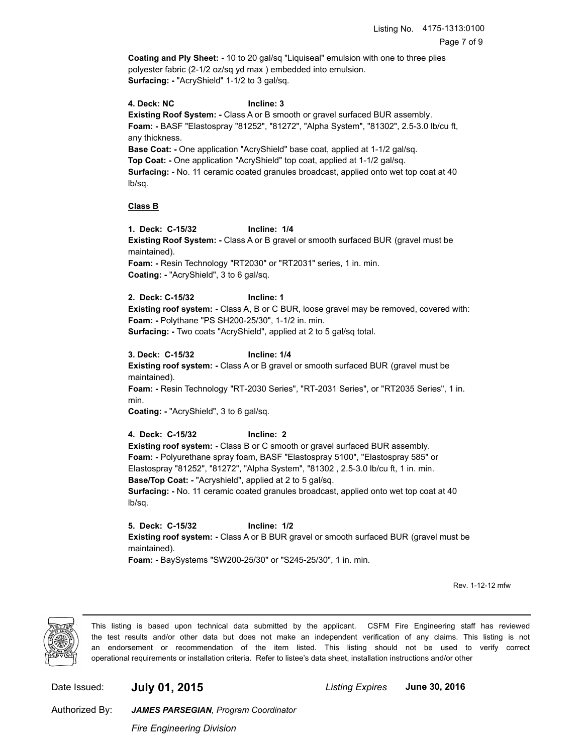**Coating and Ply Sheet: -** 10 to 20 gal/sq "Liquiseal" emulsion with one to three plies polyester fabric (2-1/2 oz/sq yd max ) embedded into emulsion. **Surfacing: -** "AcryShield" 1-1/2 to 3 gal/sq.

**4. Deck: NC Incline: 3 Existing Roof System: -** Class A or B smooth or gravel surfaced BUR assembly. **Foam: -** BASF "Elastospray "81252", "81272", "Alpha System", "81302", 2.5-3.0 lb/cu ft, any thickness. **Base Coat: -** One application "AcryShield" base coat, applied at 1-1/2 gal/sq. **Top Coat: -** One application "AcryShield" top coat, applied at 1-1/2 gal/sq. **Surfacing: -** No. 11 ceramic coated granules broadcast, applied onto wet top coat at 40 lb/sq.

# **Class B**

**1. Deck: C-15/32 Incline: 1/4 Existing Roof System: -** Class A or B gravel or smooth surfaced BUR (gravel must be maintained). **Foam: -** Resin Technology "RT2030" or "RT2031" series, 1 in. min. **Coating: -** "AcryShield", 3 to 6 gal/sq.

**2. Deck: C-15/32 Incline: 1 Existing roof system: -** Class A, B or C BUR, loose gravel may be removed, covered with: **Foam: -** Polythane "PS SH200-25/30", 1-1/2 in. min. **Surfacing: -** Two coats "AcryShield", applied at 2 to 5 gal/sq total.

**3. Deck: C-15/32 Incline: 1/4**

**Existing roof system: -** Class A or B gravel or smooth surfaced BUR (gravel must be maintained). **Foam: -** Resin Technology "RT-2030 Series", "RT-2031 Series", or "RT2035 Series", 1 in. min.

**Coating: -** "AcryShield", 3 to 6 gal/sq.

**4. Deck: C-15/32 Incline: 2 Existing roof system: -** Class B or C smooth or gravel surfaced BUR assembly. **Foam: -** Polyurethane spray foam, BASF "Elastospray 5100", "Elastospray 585" or Elastospray "81252", "81272", "Alpha System", "81302 , 2.5-3.0 lb/cu ft, 1 in. min. **Base/Top Coat: -** "Acryshield", applied at 2 to 5 gal/sq. **Surfacing: -** No. 11 ceramic coated granules broadcast, applied onto wet top coat at 40 lb/sq.

**5. Deck: C-15/32 Incline: 1/2 Existing roof system: -** Class A or B BUR gravel or smooth surfaced BUR (gravel must be maintained). **Foam: -** BaySystems "SW200-25/30" or "S245-25/30", 1 in. min.

Rev. 1-12-12 mfw



This listing is based upon technical data submitted by the applicant. CSFM Fire Engineering staff has reviewed the test results and/or other data but does not make an independent verification of any claims. This listing is not an endorsement or recommendation of the item listed. This listing should not be used to verify correct operational requirements or installation criteria. Refer to listee's data sheet, installation instructions and/or other

Date Issued: **July 01, 2015** *Listing Expires* **June 30, 2016**

Authorized By:

*Fire Engineering Division*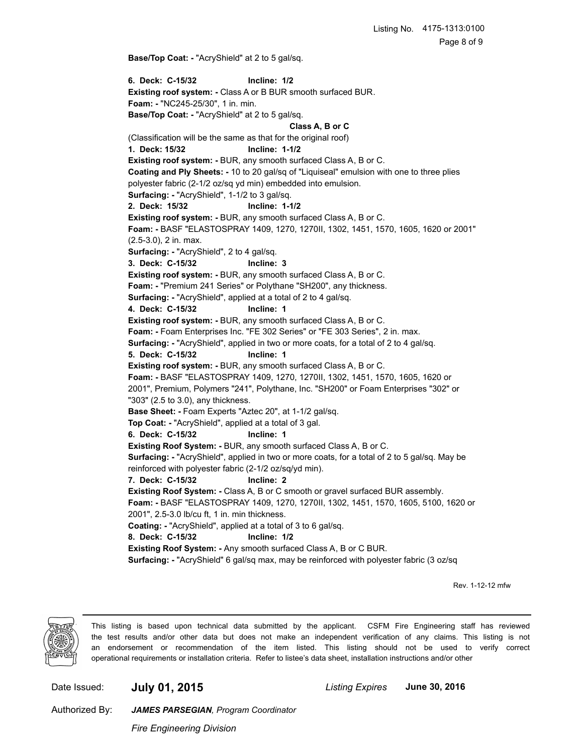**Base/Top Coat: -** "AcryShield" at 2 to 5 gal/sq.

**6. Deck: C-15/32 Incline: 1/2 Existing roof system: -** Class A or B BUR smooth surfaced BUR. **Foam: -** "NC245-25/30", 1 in. min. **Base/Top Coat: -** "AcryShield" at 2 to 5 gal/sq. **Class A, B or C** (Classification will be the same as that for the original roof) **1. Deck: 15/32 Incline: 1-1/2 Existing roof system: -** BUR, any smooth surfaced Class A, B or C. **Coating and Ply Sheets: -** 10 to 20 gal/sq of "Liquiseal" emulsion with one to three plies polyester fabric (2-1/2 oz/sq yd min) embedded into emulsion. **Surfacing: -** "AcryShield", 1-1/2 to 3 gal/sq. **2. Deck: 15/32 Incline: 1-1/2 Existing roof system: -** BUR, any smooth surfaced Class A, B or C. **Foam: -** BASF "ELASTOSPRAY 1409, 1270, 1270II, 1302, 1451, 1570, 1605, 1620 or 2001" (2.5-3.0), 2 in. max. **Surfacing: -** "AcryShield", 2 to 4 gal/sq. **3. Deck: C-15/32 Incline: 3 Existing roof system: -** BUR, any smooth surfaced Class A, B or C. **Foam: -** "Premium 241 Series" or Polythane "SH200", any thickness. **Surfacing: -** "AcryShield", applied at a total of 2 to 4 gal/sq. **4. Deck: C-15/32 Incline: 1 Existing roof system: -** BUR, any smooth surfaced Class A, B or C. **Foam: -** Foam Enterprises Inc. "FE 302 Series" or "FE 303 Series", 2 in. max. **Surfacing: -** "AcryShield", applied in two or more coats, for a total of 2 to 4 gal/sq. **5. Deck: C-15/32 Incline: 1 Existing roof system: -** BUR, any smooth surfaced Class A, B or C. **Foam: -** BASF "ELASTOSPRAY 1409, 1270, 1270II, 1302, 1451, 1570, 1605, 1620 or 2001", Premium, Polymers "241", Polythane, Inc. "SH200" or Foam Enterprises "302" or "303" (2.5 to 3.0), any thickness. **Base Sheet: -** Foam Experts "Aztec 20", at 1-1/2 gal/sq. **Top Coat: -** "AcryShield", applied at a total of 3 gal. **6. Deck: C-15/32 Incline: 1 Existing Roof System: -** BUR, any smooth surfaced Class A, B or C. **Surfacing: -** "AcryShield", applied in two or more coats, for a total of 2 to 5 gal/sq. May be reinforced with polyester fabric (2-1/2 oz/sq/yd min). **7. Deck: C-15/32 Incline: 2 Existing Roof System: -** Class A, B or C smooth or gravel surfaced BUR assembly. **Foam: -** BASF "ELASTOSPRAY 1409, 1270, 1270II, 1302, 1451, 1570, 1605, 5100, 1620 or 2001", 2.5-3.0 lb/cu ft, 1 in. min thickness. **Coating: -** "AcryShield", applied at a total of 3 to 6 gal/sq. **8. Deck: C-15/32 Incline: 1/2 Existing Roof System: -** Any smooth surfaced Class A, B or C BUR. **Surfacing: -** "AcryShield" 6 gal/sq max, may be reinforced with polyester fabric (3 oz/sq

Rev. 1-12-12 mfw



This listing is based upon technical data submitted by the applicant. CSFM Fire Engineering staff has reviewed the test results and/or other data but does not make an independent verification of any claims. This listing is not an endorsement or recommendation of the item listed. This listing should not be used to verify correct operational requirements or installation criteria. Refer to listee's data sheet, installation instructions and/or other

Date Issued: **July 01, 2015** *Listing Expires* **June 30, 2016**

Authorized By:

*Fire Engineering Division*